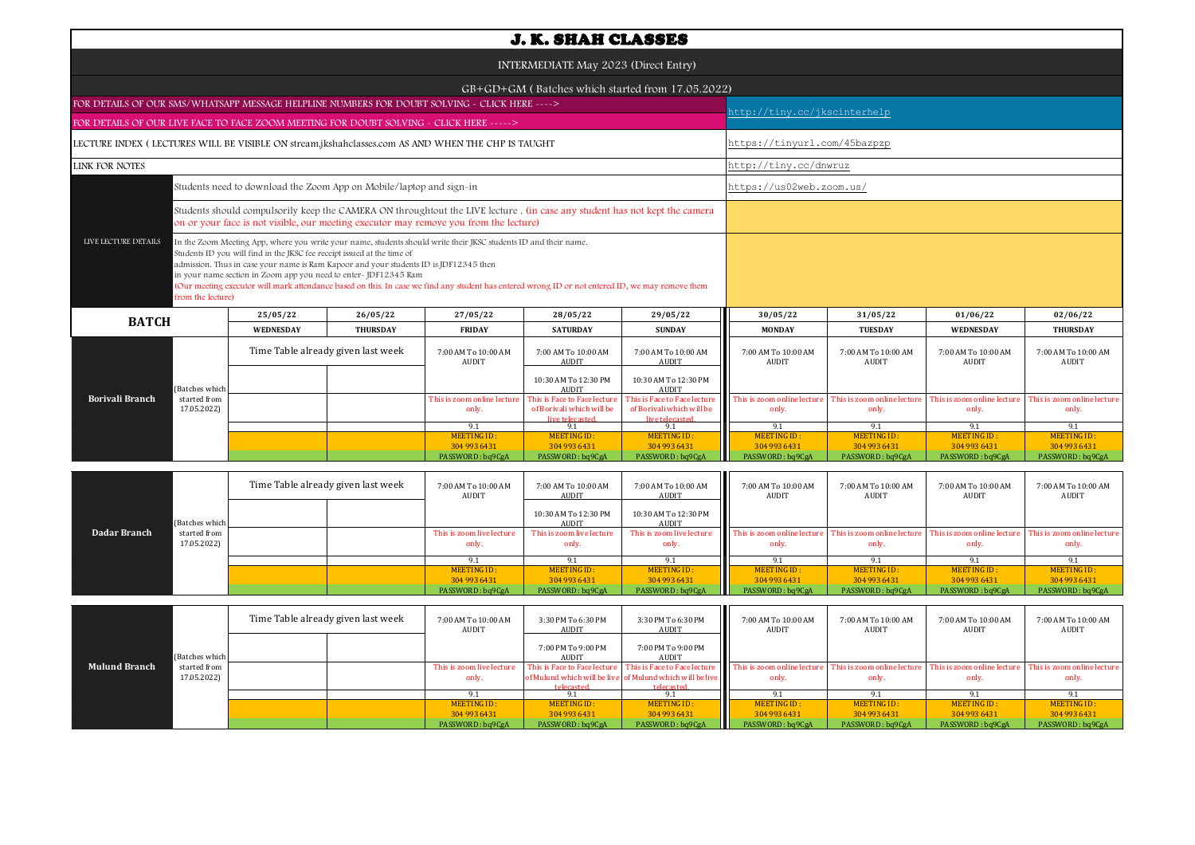| <b>J. K. SHAH CLASSES</b>                                                                                                                                                                                                                                                                                                                                                                                                                                                                                                                                |                             |                                    |                                                                                                                                                                                                                      |                                                        |                                                                              |                                                                              |                                                        |                                                        |                                                        |                                                        |  |  |
|----------------------------------------------------------------------------------------------------------------------------------------------------------------------------------------------------------------------------------------------------------------------------------------------------------------------------------------------------------------------------------------------------------------------------------------------------------------------------------------------------------------------------------------------------------|-----------------------------|------------------------------------|----------------------------------------------------------------------------------------------------------------------------------------------------------------------------------------------------------------------|--------------------------------------------------------|------------------------------------------------------------------------------|------------------------------------------------------------------------------|--------------------------------------------------------|--------------------------------------------------------|--------------------------------------------------------|--------------------------------------------------------|--|--|
| INTERMEDIATE May 2023 (Direct Entry)                                                                                                                                                                                                                                                                                                                                                                                                                                                                                                                     |                             |                                    |                                                                                                                                                                                                                      |                                                        |                                                                              |                                                                              |                                                        |                                                        |                                                        |                                                        |  |  |
|                                                                                                                                                                                                                                                                                                                                                                                                                                                                                                                                                          |                             |                                    |                                                                                                                                                                                                                      |                                                        |                                                                              | GB+GD+GM (Batches which started from 17.05.2022)                             |                                                        |                                                        |                                                        |                                                        |  |  |
| FOR DETAILS OF OUR SMS/WHATSAPP MESSAGE HELPLINE NUMBERS FOR DOUBT SOLVING - CLICK HERE ---->                                                                                                                                                                                                                                                                                                                                                                                                                                                            |                             |                                    |                                                                                                                                                                                                                      |                                                        |                                                                              |                                                                              | nttp://tiny.cc/jkscinterhelp                           |                                                        |                                                        |                                                        |  |  |
| FOR DETAILS OF OUR LIVE FACE TO FACE ZOOM MEETING FOR DOUBT SOLVING - CLICK HERE ----->                                                                                                                                                                                                                                                                                                                                                                                                                                                                  |                             |                                    |                                                                                                                                                                                                                      |                                                        |                                                                              |                                                                              |                                                        |                                                        |                                                        |                                                        |  |  |
| LECTURE INDEX (LECTURES WILL BE VISIBLE ON stream.jkshahclasses.com AS AND WHEN THE CHP IS TAUGHT                                                                                                                                                                                                                                                                                                                                                                                                                                                        |                             |                                    |                                                                                                                                                                                                                      |                                                        |                                                                              |                                                                              |                                                        | https://tinyurl.com/45bazpzp                           |                                                        |                                                        |  |  |
| LINK FOR NOTES                                                                                                                                                                                                                                                                                                                                                                                                                                                                                                                                           |                             |                                    |                                                                                                                                                                                                                      | http://tiny.cc/dnwruz                                  |                                                                              |                                                                              |                                                        |                                                        |                                                        |                                                        |  |  |
| Students need to download the Zoom App on Mobile/laptop and sign-in                                                                                                                                                                                                                                                                                                                                                                                                                                                                                      |                             |                                    |                                                                                                                                                                                                                      |                                                        |                                                                              |                                                                              |                                                        | https://us02web.zoom.us/                               |                                                        |                                                        |  |  |
|                                                                                                                                                                                                                                                                                                                                                                                                                                                                                                                                                          |                             |                                    | Students should compulsorily keep the CAMERA ON throughtout the LIVE lecture . (in case any student has not kept the camera<br>on or your face is not visible, our meeting executor may remove you from the lecture) |                                                        |                                                                              |                                                                              |                                                        |                                                        |                                                        |                                                        |  |  |
| LIVE LECTURE DETAILS<br>In the Zoom Meeting App, where you write your name, students should write their JKSC students ID and their name.<br>Students ID you will find in the JKSC fee receipt issued at the time of<br>admission. Thus in case your name is Ram Kapoor and your students ID is JDF12345 then<br>in your name section in Zoom app you need to enter-JDF12345 Ram<br>(Our meeting executor will mark attendance based on this. In case we find any student has entered wrong ID or not entered ID, we may remove them<br>from the lecture) |                             |                                    |                                                                                                                                                                                                                      |                                                        |                                                                              |                                                                              |                                                        |                                                        |                                                        |                                                        |  |  |
| <b>BATCH</b>                                                                                                                                                                                                                                                                                                                                                                                                                                                                                                                                             |                             | 25/05/22                           | 26/05/22                                                                                                                                                                                                             | 27/05/22                                               | 28/05/22                                                                     | 29/05/22                                                                     | 30/05/22                                               | 31/05/22                                               | 01/06/22                                               | 02/06/22                                               |  |  |
|                                                                                                                                                                                                                                                                                                                                                                                                                                                                                                                                                          |                             | <b>WEDNESDAY</b>                   | <b>THURSDAY</b>                                                                                                                                                                                                      | <b>FRIDAY</b>                                          | <b>SATURDAY</b>                                                              | <b>SUNDAY</b>                                                                | <b>MONDAY</b>                                          | <b>TUESDAY</b>                                         | <b>WEDNESDAY</b>                                       | <b>THURSDAY</b>                                        |  |  |
|                                                                                                                                                                                                                                                                                                                                                                                                                                                                                                                                                          |                             | Time Table already given last week |                                                                                                                                                                                                                      | 7:00 AM To 10:00 AM<br><b>AUDIT</b>                    | 7:00 AM To 10:00 AM<br><b>AUDIT</b>                                          | 7:00 AM To 10:00 AM<br><b>AUDIT</b>                                          | 7:00 AM To 10:00 AM<br>AUDIT                           | 7:00 AM To 10:00 AM<br>AUDIT                           | 7:00 AM To 10:00 AM<br>AUDIT                           | 7:00 AM To 10:00 AM<br><b>AUDIT</b>                    |  |  |
|                                                                                                                                                                                                                                                                                                                                                                                                                                                                                                                                                          | Batches which               |                                    |                                                                                                                                                                                                                      |                                                        | 10:30 AM To 12:30 PM<br><b>AUDIT</b>                                         | 10:30 AM To 12:30 PM<br><b>AUDIT</b>                                         |                                                        |                                                        |                                                        |                                                        |  |  |
| Borivali Branch                                                                                                                                                                                                                                                                                                                                                                                                                                                                                                                                          | started from<br>17.05.2022) |                                    |                                                                                                                                                                                                                      | This is zoom online lecture<br>only.                   | This is Face to Face lecture<br>of Borivali which will be<br>live telecaster | This is Face to Face lecture<br>of Borivali which will be<br>live telecaster | This is zoom online lecture<br>only.                   | This is zoom online lecture<br>only.                   | This is zoom online lecture<br>only.                   | This is zoom online lecture<br>only.                   |  |  |
|                                                                                                                                                                                                                                                                                                                                                                                                                                                                                                                                                          |                             |                                    |                                                                                                                                                                                                                      | 9.1                                                    | 9.1                                                                          | 9.1                                                                          | 9.1                                                    | 9.1                                                    | 9.1                                                    | 9.1                                                    |  |  |
|                                                                                                                                                                                                                                                                                                                                                                                                                                                                                                                                                          |                             |                                    |                                                                                                                                                                                                                      | <b>MEETING ID:</b><br>304 993 6431<br>PASSWORD: bq9CgA | <b>MEETING ID:</b><br>304 993 6431<br>PASSWORD: bq9CgA                       | <b>MEETING ID:</b><br>304 993 6431<br>PASSWORD: bq9CgA                       | <b>MEETING ID:</b><br>304 993 6431<br>PASSWORD: bq9CgA | <b>MEETING ID:</b><br>304 993 6431<br>PASSWORD: bq9CgA | <b>MEETING ID:</b><br>304 993 6431<br>PASSWORD: bq9CgA | <b>MEETING ID:</b><br>304 993 6431<br>PASSWORD: bq9CgA |  |  |
|                                                                                                                                                                                                                                                                                                                                                                                                                                                                                                                                                          |                             |                                    |                                                                                                                                                                                                                      |                                                        |                                                                              |                                                                              |                                                        |                                                        |                                                        |                                                        |  |  |
|                                                                                                                                                                                                                                                                                                                                                                                                                                                                                                                                                          |                             | Time Table already given last week |                                                                                                                                                                                                                      | 7:00 AM To 10:00 AM<br>AUDIT                           | 7:00 AM To 10:00 AM<br><b>AUDIT</b>                                          | 7:00 AM To 10:00 AM<br>AUDIT                                                 | 7:00 AM To 10:00 AM<br>AUDIT                           | 7:00 AM To 10:00 AM<br>AUDIT                           | 7:00 AM To 10:00 AM<br>AUDIT                           | 7:00 AM To 10:00 AM<br>AUDIT                           |  |  |
|                                                                                                                                                                                                                                                                                                                                                                                                                                                                                                                                                          | Batches which               |                                    |                                                                                                                                                                                                                      |                                                        | 10:30 AM To 12:30 PM<br>AUDI7                                                | 10:30 AM To 12:30 PM<br><b>AUDIT</b>                                         |                                                        |                                                        |                                                        |                                                        |  |  |
| <b>Dadar Branch</b>                                                                                                                                                                                                                                                                                                                                                                                                                                                                                                                                      | started from<br>17.05.2022) |                                    |                                                                                                                                                                                                                      | This is zoom live lecture<br>only.                     | This is zoom live lecture<br>only.                                           | This is zoom live lecture<br>only.                                           | This is zoom online lecture<br>only.                   | This is zoom online lecture<br>only.                   | This is zoom online lecture<br>only.                   | This is zoom online lecture<br>only.                   |  |  |

| <b>Mulund Branch</b> |                             | Time Table already given last week |  | 7:00 AM To 10:00 AM<br>AUDIT       | 3:30 PM To 6:30 PM<br>AUDIT | 3:30 PM To 6:30 PM<br>AUDIT                                                                                            | 7:00 AM To 10:00 AM<br>AUDIT                                     | 7:00 AM To 10:00 AM<br>AUDIT | 7:00 AM To 10:00 AM<br>AUDIT         | 7:00 AM To 10:00 AM<br>AUDIT         |
|----------------------|-----------------------------|------------------------------------|--|------------------------------------|-----------------------------|------------------------------------------------------------------------------------------------------------------------|------------------------------------------------------------------|------------------------------|--------------------------------------|--------------------------------------|
|                      | (Batches which              |                                    |  |                                    | 7:00 PM To 9:00 PM<br>AUDIT | 7:00 PM To 9:00 PM<br>AUDIT                                                                                            |                                                                  |                              |                                      |                                      |
|                      | started from<br>17.05.2022) |                                    |  | This is zoom live lecture<br>only. |                             | This is Face to Face lecture This is Face to Face lecture<br>of Mulund which will be live of Mulund which will be live | This is zoom online lecture This is zoom online lecture<br>only. | only.                        | This is zoom online lecture<br>only. | This is zoom online lecture<br>only. |
|                      |                             |                                    |  |                                    | telecasted                  | telecasted.                                                                                                            |                                                                  |                              |                                      |                                      |
|                      |                             |                                    |  | MEETING ID:                        | MEETING ID:                 | MEETING ID:                                                                                                            | <b>MEETING ID:</b>                                               | MEETING ID:                  | MEETING ID:                          | MEETING ID:                          |
|                      |                             |                                    |  | 304 993 6431                       | 304 993 6431                | 304 993 6431                                                                                                           | 304 993 6431                                                     | 304 993 6431                 | 304 993 6431                         | 304 993 6431                         |
|                      |                             |                                    |  | PASSWORD: bq9CgA                   | PASSWORD: bq9CgA            | PASSWORD: bq9CgA                                                                                                       | PASSWORD: bq9CgA                                                 | PASSWORD: bq9CgA             | PASSWORD: bq9CgA                     | PASSWORD: bq9CgA                     |

MEETING ID :<br>304 993 6431

MEETING ID: 304 993 6431<br>PASSWORD : bq9CgA

9.1 | 9.1 | 9.1 | 9.1 | 9.1 | 9.1 | 9.1 | 9.1

MEETING ID : ALGETING ID : MEETING ID : ALGETING ID : ALGETING ID : ALGETING ID : ALGETING ID : PO : ALGETING ID :<br>304 9304 933 1049 204 936431 PASSWORD : bq9CgA PASSWORD : bq9CgA PASSWORD : bq9CgA PASSWORD : bq9CgA PASSWO

MEETING ID:<br>304 993 6431

MEETING ID:<br>304 993 6431

MEETING ID:<br>304 993 6431

MEETING ID:<br>304 993 6431